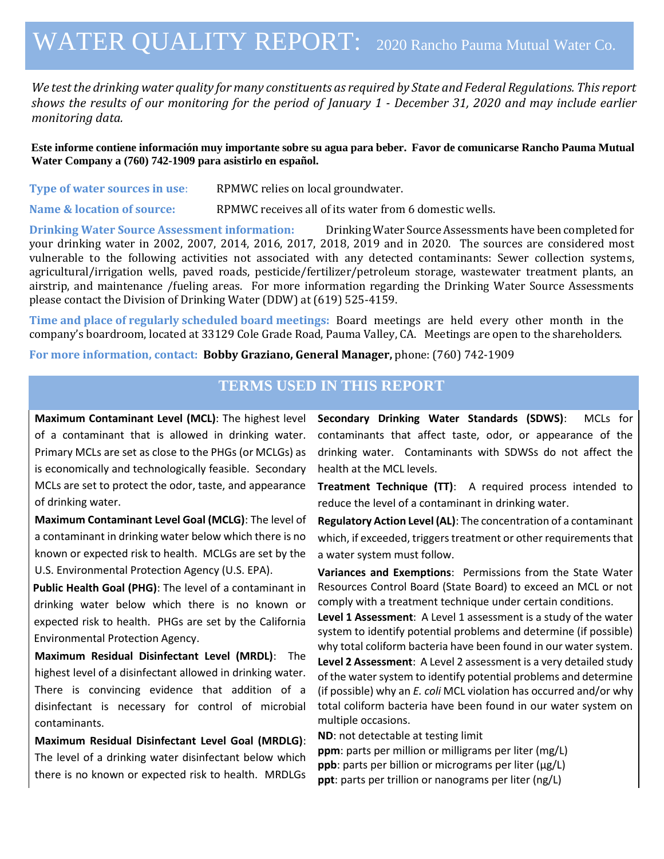## WATER QUALITY REPORT: <sup>2020</sup> Rancho Pauma Mutual Water Co.

*We test the drinking water quality for many constituents as required by State and Federal Regulations. This report shows the results of our monitoring for the period of January 1 - December 31, 2020 and may include earlier monitoring data.*

**Este informe contiene información muy importante sobre su agua para beber. Favor de comunicarse Rancho Pauma Mutual Water Company a (760) 742-1909 para asistirlo en español.**

| Type of water sources in use: | RPMWC relies on local groundwater. |
|-------------------------------|------------------------------------|
|-------------------------------|------------------------------------|

**Name & location of source:** RPMWC receives all of its water from 6 domestic wells.

**Drinking Water Source Assessment information:** Drinking Water Source Assessments have been completed for your drinking water in 2002, 2007, 2014, 2016, 2017, 2018, 2019 and in 2020. The sources are considered most vulnerable to the following activities not associated with any detected contaminants: Sewer collection systems, agricultural/irrigation wells, paved roads, pesticide/fertilizer/petroleum storage, wastewater treatment plants, an airstrip, and maintenance /fueling areas. For more information regarding the Drinking Water Source Assessments please contact the Division of Drinking Water (DDW) at (619) 525-4159.

**Time and place of regularly scheduled board meetings:** Board meetings are held every other month in the company's boardroom, located at 33129 Cole Grade Road, Pauma Valley, CA. Meetings are open to the shareholders.

**For more information, contact: Bobby Graziano, General Manager,** phone: (760) 742-1909

## **TERMS USED IN THIS REPORT**

**Maximum Contaminant Level (MCL)**: The highest level of a contaminant that is allowed in drinking water. Primary MCLs are set as close to the PHGs (or MCLGs) as is economically and technologically feasible. Secondary MCLs are set to protect the odor, taste, and appearance of drinking water.

**Maximum Contaminant Level Goal (MCLG)**: The level of a contaminant in drinking water below which there is no known or expected risk to health. MCLGs are set by the U.S. Environmental Protection Agency (U.S. EPA).

**Public Health Goal (PHG)**: The level of a contaminant in drinking water below which there is no known or expected risk to health. PHGs are set by the California Environmental Protection Agency.

**Maximum Residual Disinfectant Level (MRDL)**: The highest level of a disinfectant allowed in drinking water. There is convincing evidence that addition of a disinfectant is necessary for control of microbial contaminants.

**Maximum Residual Disinfectant Level Goal (MRDLG)**: The level of a drinking water disinfectant below which there is no known or expected risk to health. MRDLGs **Secondary Drinking Water Standards (SDWS)**:MCLs for contaminants that affect taste, odor, or appearance of the drinking water. Contaminants with SDWSs do not affect the health at the MCL levels.

**Treatment Technique (TT)**: A required process intended to reduce the level of a contaminant in drinking water.

**Regulatory Action Level (AL)**: The concentration of a contaminant which, if exceeded, triggers treatment or other requirements that a water system must follow.

**Variances and Exemptions**: Permissions from the State Water Resources Control Board (State Board) to exceed an MCL or not comply with a treatment technique under certain conditions.

**Level 1 Assessment**: A Level 1 assessment is a study of the water system to identify potential problems and determine (if possible) why total coliform bacteria have been found in our water system.

**Level 2 Assessment**: A Level 2 assessment is a very detailed study of the water system to identify potential problems and determine (if possible) why an *E. coli* MCL violation has occurred and/or why total coliform bacteria have been found in our water system on multiple occasions.

**ND**: not detectable at testing limit

**ppm**: parts per million or milligrams per liter (mg/L) **ppb**: parts per billion or micrograms per liter (µg/L) **ppt**: parts per trillion or nanograms per liter (ng/L)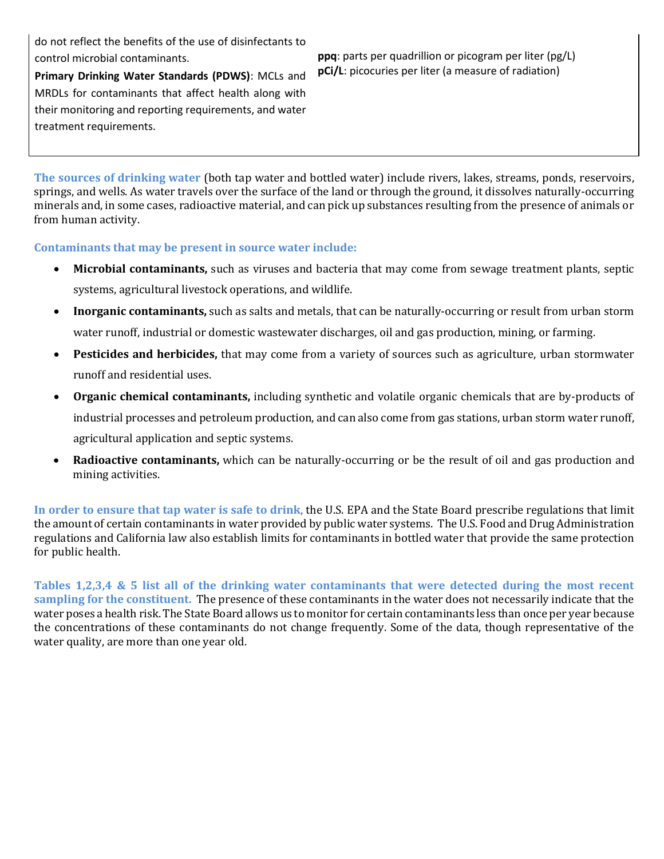do not reflect the benefits of the use of disinfectants to control microbial contaminants.

**Primary Drinking Water Standards (PDWS)**: MCLs and MRDLs for contaminants that affect health along with their monitoring and reporting requirements, and water treatment requirements.

**ppq**: parts per quadrillion or picogram per liter (pg/L) **pCi/L**: picocuries per liter (a measure of radiation)

**The sources of drinking water** (both tap water and bottled water) include rivers, lakes, streams, ponds, reservoirs, springs, and wells. As water travels over the surface of the land or through the ground, it dissolves naturally-occurring minerals and, in some cases, radioactive material, and can pick up substances resulting from the presence of animals or from human activity.

**Contaminants that may be present in source water include:** 

- **Microbial contaminants,** such as viruses and bacteria that may come from sewage treatment plants, septic systems, agricultural livestock operations, and wildlife.
- **Inorganic contaminants,** such as salts and metals, that can be naturally-occurring or result from urban storm water runoff, industrial or domestic wastewater discharges, oil and gas production, mining, or farming.
- **Pesticides and herbicides,** that may come from a variety of sources such as agriculture, urban stormwater runoff and residential uses.
- **Organic chemical contaminants,** including synthetic and volatile organic chemicals that are by-products of industrial processes and petroleum production, and can also come from gas stations, urban storm water runoff, agricultural application and septic systems.
- **Radioactive contaminants,** which can be naturally-occurring or be the result of oil and gas production and mining activities.

**In order to ensure that tap water is safe to drink**, the U.S. EPA and the State Board prescribe regulations that limit the amount of certain contaminants in water provided by public water systems. The U.S. Food and Drug Administration regulations and California law also establish limits for contaminants in bottled water that provide the same protection for public health.

**Tables 1,2,3,4 & 5 list all of the drinking water contaminants that were detected during the most recent sampling for the constituent.** The presence of these contaminants in the water does not necessarily indicate that the water poses a health risk. The State Board allows us to monitor for certain contaminants less than once per year because the concentrations of these contaminants do not change frequently. Some of the data, though representative of the water quality, are more than one year old.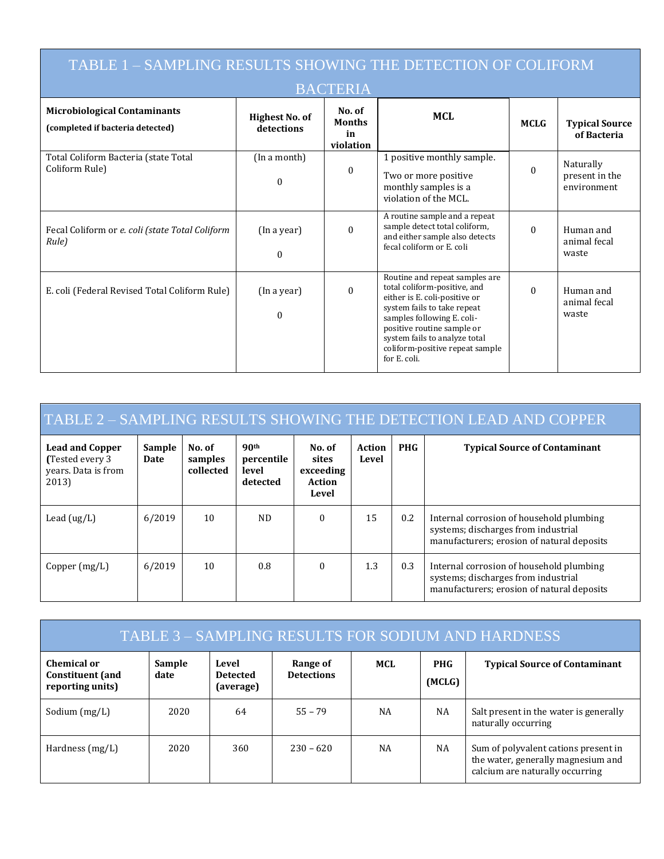| TABLE 1 - SAMPLING RESULTS SHOWING THE DETECTION OF COLIFORM            |                              |                                            |                                                                                                                                                                                                                                                                                |             |                                            |  |  |  |  |  |
|-------------------------------------------------------------------------|------------------------------|--------------------------------------------|--------------------------------------------------------------------------------------------------------------------------------------------------------------------------------------------------------------------------------------------------------------------------------|-------------|--------------------------------------------|--|--|--|--|--|
| <b>BACTERIA</b>                                                         |                              |                                            |                                                                                                                                                                                                                                                                                |             |                                            |  |  |  |  |  |
| <b>Microbiological Contaminants</b><br>(completed if bacteria detected) | Highest No. of<br>detections | No. of<br><b>Months</b><br>in<br>violation | <b>MCL</b>                                                                                                                                                                                                                                                                     | <b>MCLG</b> | <b>Typical Source</b><br>of Bacteria       |  |  |  |  |  |
| Total Coliform Bacteria (state Total<br>Coliform Rule)                  | (In a month)<br>$\Omega$     | $\mathbf{0}$                               | 1 positive monthly sample.<br>Two or more positive<br>monthly samples is a<br>violation of the MCL.                                                                                                                                                                            | $\Omega$    | Naturally<br>present in the<br>environment |  |  |  |  |  |
| Fecal Coliform or e. coli (state Total Coliform<br>Rule)                | (In a year)<br>$\Omega$      | $\Omega$                                   | A routine sample and a repeat<br>sample detect total coliform,<br>and either sample also detects<br>fecal coliform or E. coli                                                                                                                                                  | $\Omega$    | Human and<br>animal fecal<br>waste         |  |  |  |  |  |
| E. coli (Federal Revised Total Coliform Rule)                           | (In a year)<br>$\Omega$      | $\theta$                                   | Routine and repeat samples are<br>total coliform-positive, and<br>either is E. coli-positive or<br>system fails to take repeat<br>samples following E. coli-<br>positive routine sample or<br>system fails to analyze total<br>coliform-positive repeat sample<br>for E. coli. | $\Omega$    | Human and<br>animal fecal<br>waste         |  |  |  |  |  |

| <b>TABLE 2 - SAMPLING RESULTS SHOWING THE DETECTION LEAD AND COPPER</b>    |                |                                |                                                     |                                                 |                        |            |                                                                                                                               |  |  |
|----------------------------------------------------------------------------|----------------|--------------------------------|-----------------------------------------------------|-------------------------------------------------|------------------------|------------|-------------------------------------------------------------------------------------------------------------------------------|--|--|
| <b>Lead and Copper</b><br>(Tested every 3)<br>years. Data is from<br>2013) | Sample<br>Date | No. of<br>samples<br>collected | 90 <sup>th</sup><br>percentile<br>level<br>detected | No. of<br>sites<br>exceeding<br>Action<br>Level | <b>Action</b><br>Level | <b>PHG</b> | <b>Typical Source of Contaminant</b>                                                                                          |  |  |
| Lead $(ug/L)$                                                              | 6/2019         | 10                             | ND.                                                 | $\Omega$                                        | 15                     | 0.2        | Internal corrosion of household plumbing<br>systems; discharges from industrial<br>manufacturers; erosion of natural deposits |  |  |
| Copper $(mg/L)$                                                            | 6/2019         | 10                             | 0.8                                                 | $\Omega$                                        | 1.3                    | 0.3        | Internal corrosion of household plumbing<br>systems; discharges from industrial<br>manufacturers; erosion of natural deposits |  |  |

| TABLE 3 - SAMPLING RESULTS FOR SODIUM AND HARDNESS         |                |                                       |                               |           |                      |                                                                                                               |  |  |
|------------------------------------------------------------|----------------|---------------------------------------|-------------------------------|-----------|----------------------|---------------------------------------------------------------------------------------------------------------|--|--|
| Chemical or<br><b>Constituent</b> (and<br>reporting units) | Sample<br>date | Level<br><b>Detected</b><br>(average) | Range of<br><b>Detections</b> | MCL       | <b>PHG</b><br>(MCLG) | <b>Typical Source of Contaminant</b>                                                                          |  |  |
| Sodium $(mg/L)$                                            | 2020           | 64                                    | $55 - 79$                     | <b>NA</b> | <b>NA</b>            | Salt present in the water is generally<br>naturally occurring                                                 |  |  |
| Hardness $(mg/L)$                                          | 2020           | 360                                   | $230 - 620$                   | <b>NA</b> | NA                   | Sum of polyvalent cations present in<br>the water, generally magnesium and<br>calcium are naturally occurring |  |  |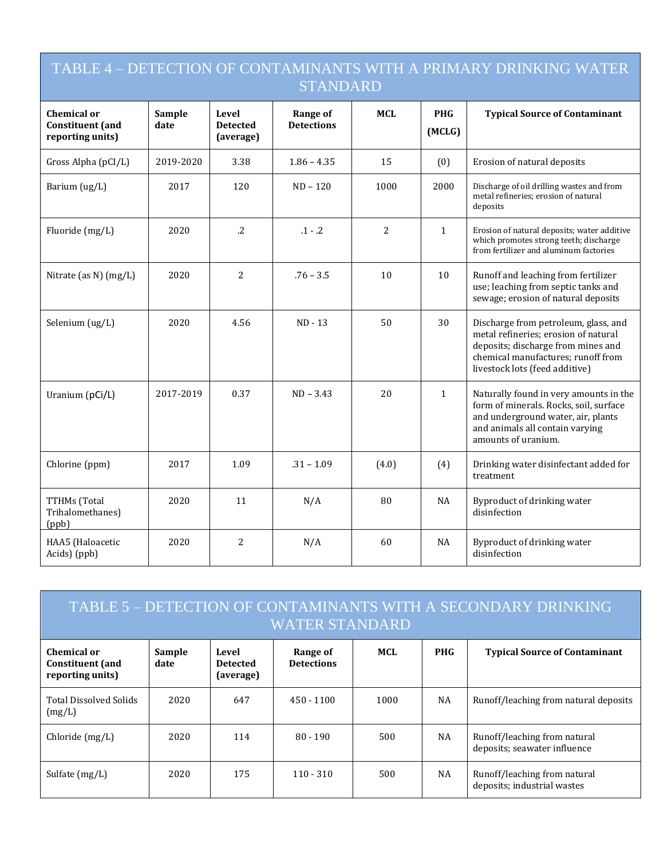## TABLE 4 – DETECTION OF CONTAMINANTS WITH A PRIMARY DRINKING WATER STANDARD

| <b>Chemical or</b><br><b>Constituent</b> (and<br>reporting units) | Sample<br>date | Level<br><b>Detected</b><br>(average) | Range of<br><b>Detections</b> | <b>MCL</b>     | <b>PHG</b><br>(MCLG) | <b>Typical Source of Contaminant</b>                                                                                                                                                       |
|-------------------------------------------------------------------|----------------|---------------------------------------|-------------------------------|----------------|----------------------|--------------------------------------------------------------------------------------------------------------------------------------------------------------------------------------------|
| Gross Alpha (pCI/L)                                               | 2019-2020      | 3.38                                  | $1.86 - 4.35$                 | 15             | (0)                  | Erosion of natural deposits                                                                                                                                                                |
| Barium (ug/L)                                                     | 2017           | 120                                   | $ND - 120$                    | 1000           | 2000                 | Discharge of oil drilling wastes and from<br>metal refineries; erosion of natural<br>deposits                                                                                              |
| Fluoride (mg/L)                                                   | 2020           | $\cdot$ .2                            | $.1 - .2$                     | $\overline{2}$ | $\mathbf{1}$         | Erosion of natural deposits; water additive<br>which promotes strong teeth; discharge<br>from fertilizer and aluminum factories                                                            |
| Nitrate (as N) (mg/L)                                             | 2020           | $\overline{2}$                        | $.76 - 3.5$                   | 10             | 10                   | Runoff and leaching from fertilizer<br>use; leaching from septic tanks and<br>sewage; erosion of natural deposits                                                                          |
| Selenium (ug/L)                                                   | 2020           | 4.56                                  | $ND - 13$                     | 50             | 30                   | Discharge from petroleum, glass, and<br>metal refineries; erosion of natural<br>deposits; discharge from mines and<br>chemical manufactures; runoff from<br>livestock lots (feed additive) |
| Uranium (pCi/L)                                                   | 2017-2019      | 0.37                                  | $ND - 3.43$                   | 20             | $\mathbf{1}$         | Naturally found in very amounts in the<br>form of minerals. Rocks, soil, surface<br>and underground water, air, plants<br>and animals all contain varying<br>amounts of uranium.           |
| Chlorine (ppm)                                                    | 2017           | 1.09                                  | $.31 - 1.09$                  | (4.0)          | (4)                  | Drinking water disinfectant added for<br>treatment                                                                                                                                         |
| TTHMs (Total<br>Trihalomethanes)<br>(ppb)                         | 2020           | 11                                    | N/A                           | 80             | NA                   | Byproduct of drinking water<br>disinfection                                                                                                                                                |
| HAA5 (Haloacetic<br>Acids) (ppb)                                  | 2020           | 2                                     | N/A                           | 60             | NA                   | Byproduct of drinking water<br>disinfection                                                                                                                                                |

| TABLE 5 – DETECTION OF CONTAMINANTS WITH A SECONDARY DRINKING<br><b>WATER STANDARD</b> |                |                                       |                               |      |            |                                                              |  |  |  |
|----------------------------------------------------------------------------------------|----------------|---------------------------------------|-------------------------------|------|------------|--------------------------------------------------------------|--|--|--|
| Chemical or<br><b>Constituent</b> (and<br>reporting units)                             | Sample<br>date | Level<br><b>Detected</b><br>(average) | Range of<br><b>Detections</b> | MCL  | <b>PHG</b> | <b>Typical Source of Contaminant</b>                         |  |  |  |
| <b>Total Dissolved Solids</b><br>(mg/L)                                                | 2020           | 647                                   | $450 - 1100$                  | 1000 | NA         | Runoff/leaching from natural deposits                        |  |  |  |
| Chloride $(mg/L)$                                                                      | 2020           | 114                                   | $80 - 190$                    | 500  | NA         | Runoff/leaching from natural<br>deposits; seawater influence |  |  |  |
| Sulfate $(mg/L)$                                                                       | 2020           | 175                                   | $110 - 310$                   | 500  | NA         | Runoff/leaching from natural<br>deposits; industrial wastes  |  |  |  |

Г